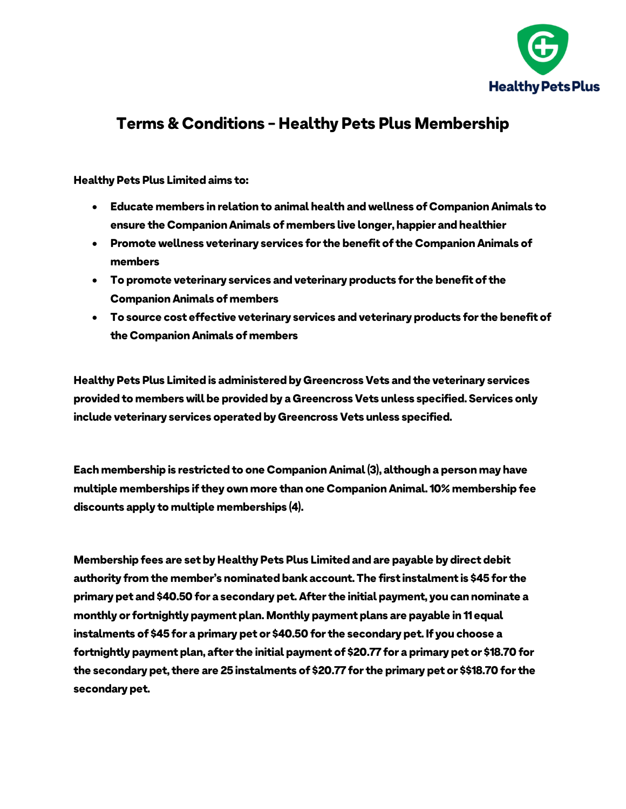

## *Terms & Conditions - Healthy Pets Plus Membership*

## *Healthy Pets Plus Limited aims to:*

- *Educate members in relation to animal health and wellness of Companion Animals to ensure the Companion Animals of members live longer, happier and healthier*
- *Promote wellness veterinary services for the benefit of the Companion Animals of members*
- *To promote veterinary services and veterinary products for the benefit of the Companion Animals of members*
- *To source cost effective veterinary services and veterinary products for the benefit of the Companion Animals of members*

*Healthy Pets Plus Limited is administered by Greencross Vets and the veterinary services provided to members will be provided by a Greencross Vets unless specified. Services only include veterinary services operated by Greencross Vets unless specified.*

*Each membership is restricted to one Companion Animal (3), although a person may have multiple memberships if they own more than one Companion Animal. 10% membership fee discounts apply to multiple memberships (4).*

*Membership fees are set by Healthy Pets Plus Limited and are payable by direct debit authority from the member's nominated bank account. The first instalment is \$45 for the primary pet and \$40.50 for a secondary pet. After the initial payment, you can nominate a monthly or fortnightly payment plan. Monthly payment plans are payable in 11 equal instalments of \$45 for a primary pet or \$40.50 for the secondary pet. If you choose a fortnightly payment plan, after the initial payment of \$20.77 for a primary pet or \$18.70 for the secondary pet, there are 25 instalments of \$20.77 for the primary pet or \$\$18.70 for the secondary pet.*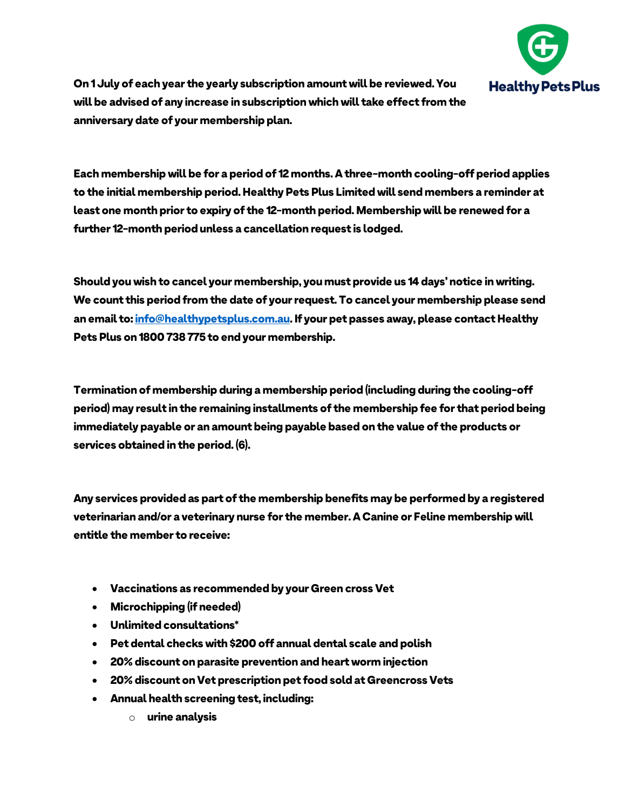

*On 1 July of each year the yearly subscription amount will be reviewed. You will be advised of any increase in subscription which will take effect from the anniversary date of your membership plan.*

*Each membership will be for a period of 12 months. A three-month cooling-off period applies to the initial membership period. Healthy Pets Plus Limited will send members a reminder at least one month prior to expiry of the 12-month period. Membership will be renewed for a further 12-month period unless a cancellation request is lodged.*

*Should you wish to cancel your membership, you must provide us 14 days' notice in writing. We count this period from the date of your request. To cancel your membership please send an email to[: info@healthypetsplus.com.au.](mailto:info@healthypetsplus.com.au) If your pet passes away, please contact Healthy Pets Plus on 1800 738 775 to end your membership.*

*Termination of membership during a membership period (including during the cooling-off period) may result in the remaining installments of the membership fee for that period being immediately payable or an amount being payable based on the value of the products or services obtained in the period. (6).*

*Any services provided as part of the membership benefits may be performed by a registered veterinarian and/or a veterinary nurse for the member. A Canine or Feline membership will entitle the member to receive:*

- *Vaccinations as recommended by your Green cross Vet*
- *Microchipping (if needed)*
- *Unlimited consultations\**
- *Pet dental checks with \$200 off annual dental scale and polish*
- *20% discount on parasite prevention and heart worm injection*
- *20% discount on Vet prescription pet food sold at Greencross Vets*
- *Annual health screening test, including:*
	- o *urine analysis*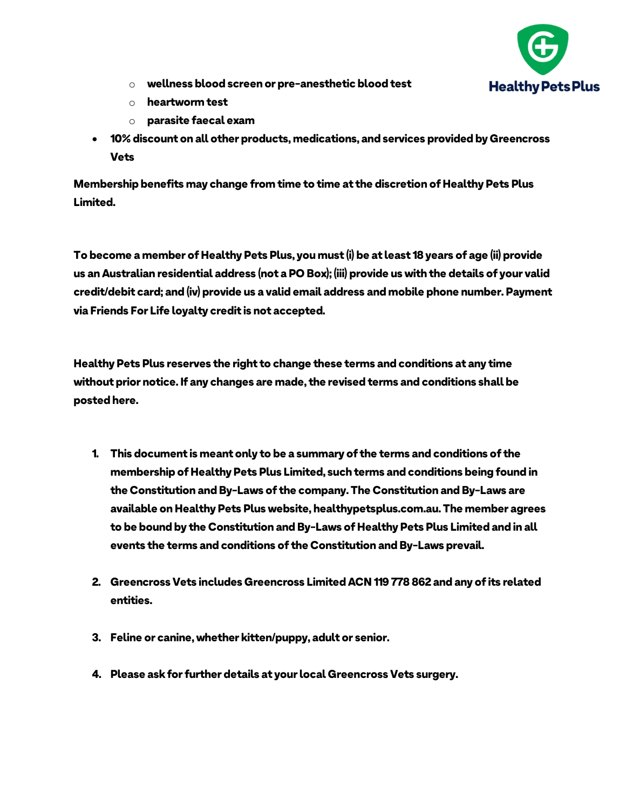

- o *wellness blood screen or pre-anesthetic blood test*
- o *heartworm test*
- o *parasite faecal exam*
- *10% discount on all other products, medications, and services provided by Greencross Vets*

*Membership benefits may change from time to time at the discretion of Healthy Pets Plus Limited.*

*To become a member of Healthy Pets Plus, you must (i) be at least 18 years of age (ii) provide us an Australian residential address (not a PO Box); (iii) provide us with the details of your valid credit/debit card; and (iv) provide us a valid email address and mobile phone number. Payment via Friends For Life loyalty credit is not accepted.*

*Healthy Pets Plus reserves the right to change these terms and conditions at any time without prior notice. If any changes are made, the revised terms and conditions shall be posted here.*

- *1. This document is meant only to be a summary of the terms and conditions of the membership of Healthy Pets Plus Limited, such terms and conditions being found in the Constitution and By-Laws of the company. The Constitution and By-Laws are available on Healthy Pets Plus website, healthypetsplus.com.au. The member agrees to be bound by the Constitution and By-Laws of Healthy Pets Plus Limited and in all events the terms and conditions of the Constitution and By-Laws prevail.*
- *2. Greencross Vets includes Greencross Limited ACN 119 778 862 and any of its related entities.*
- *3. Feline or canine, whether kitten/puppy, adult or senior.*
- *4. Please ask for further details at your local Greencross Vets surgery.*